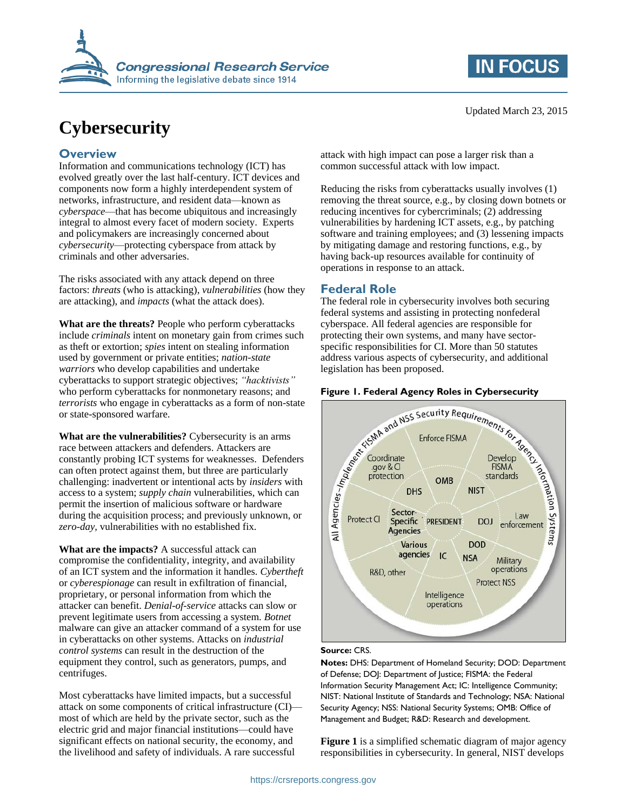



# **Cybersecurity**

### **Overview**

Information and communications technology (ICT) has evolved greatly over the last half-century. ICT devices and components now form a highly interdependent system of networks, infrastructure, and resident data—known as *cyberspace*—that has become ubiquitous and increasingly integral to almost every facet of modern society. Experts and policymakers are increasingly concerned about *cybersecurity*—protecting cyberspace from attack by criminals and other adversaries.

The risks associated with any attack depend on three factors: *threats* (who is attacking), *vulnerabilities* (how they are attacking), and *impacts* (what the attack does).

**What are the threats?** People who perform cyberattacks include *criminals* intent on monetary gain from crimes such as theft or extortion; *spies* intent on stealing information used by government or private entities; *nation-state warriors* who develop capabilities and undertake cyberattacks to support strategic objectives; *"hacktivists"* who perform cyberattacks for nonmonetary reasons; and *terrorists* who engage in cyberattacks as a form of non-state or state-sponsored warfare.

**What are the vulnerabilities?** Cybersecurity is an arms race between attackers and defenders. Attackers are constantly probing ICT systems for weaknesses. Defenders can often protect against them, but three are particularly challenging: inadvertent or intentional acts by *insiders* with access to a system; *supply chain* vulnerabilities, which can permit the insertion of malicious software or hardware during the acquisition process; and previously unknown, or *zero-day*, vulnerabilities with no established fix.

**What are the impacts?** A successful attack can compromise the confidentiality, integrity, and availability of an ICT system and the information it handles. *Cybertheft* or *cyberespionage* can result in exfiltration of financial, proprietary, or personal information from which the attacker can benefit. *Denial-of-service* attacks can slow or prevent legitimate users from accessing a system. *Botnet* malware can give an attacker command of a system for use in cyberattacks on other systems. Attacks on *industrial control systems* can result in the destruction of the equipment they control, such as generators, pumps, and centrifuges.

Most cyberattacks have limited impacts, but a successful attack on some components of critical infrastructure (CI) most of which are held by the private sector, such as the electric grid and major financial institutions—could have significant effects on national security, the economy, and the livelihood and safety of individuals. A rare successful

attack with high impact can pose a larger risk than a common successful attack with low impact.

Reducing the risks from cyberattacks usually involves (1) removing the threat source, e.g., by closing down botnets or reducing incentives for cybercriminals; (2) addressing vulnerabilities by hardening ICT assets, e.g., by patching software and training employees; and (3) lessening impacts by mitigating damage and restoring functions, e.g., by having back-up resources available for continuity of operations in response to an attack.

## **Federal Role**

The federal role in cybersecurity involves both securing federal systems and assisting in protecting nonfederal cyberspace. All federal agencies are responsible for protecting their own systems, and many have sectorspecific responsibilities for CI. More than 50 statutes address various aspects of cybersecurity, and additional legislation has been proposed.

<span id="page-0-0"></span>

#### **Source:** CRS.

**Notes:** DHS: Department of Homeland Security; DOD: Department of Defense; DOJ: Department of Justice; FISMA: the Federal Information Security Management Act; IC: Intelligence Community; NIST: National Institute of Standards and Technology; NSA: National Security Agency; NSS: National Security Systems; OMB: Office of Management and Budget; R&D: Research and development.

**[Figure 1](#page-0-0)** is a simplified schematic diagram of major agency responsibilities in cybersecurity. In general, NIST develops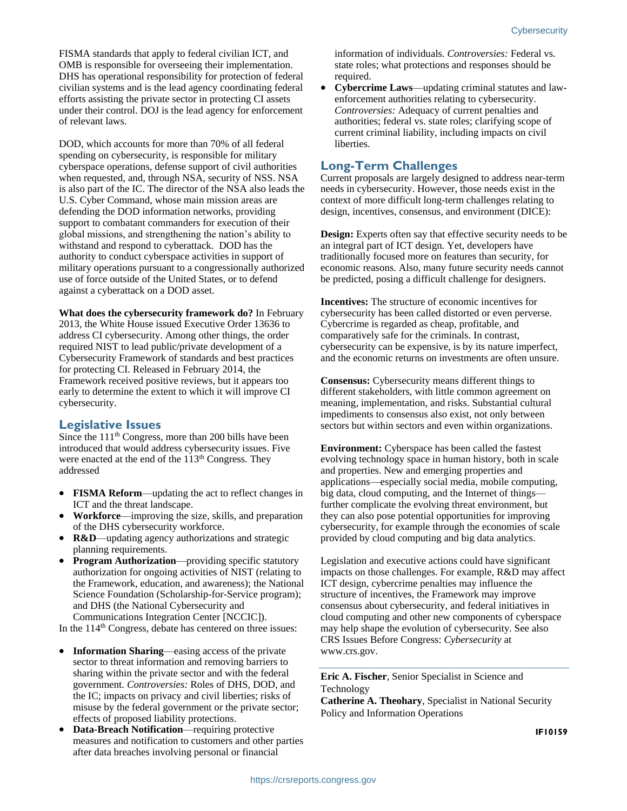FISMA standards that apply to federal civilian ICT, and OMB is responsible for overseeing their implementation. DHS has operational responsibility for protection of federal civilian systems and is the lead agency coordinating federal efforts assisting the private sector in protecting CI assets under their control. DOJ is the lead agency for enforcement of relevant laws.

DOD, which accounts for more than 70% of all federal spending on cybersecurity, is responsible for military cyberspace operations, defense support of civil authorities when requested, and, through NSA, security of NSS. NSA is also part of the IC. The director of the NSA also leads the U.S. Cyber Command, whose main mission areas are defending the DOD information networks, providing support to combatant commanders for execution of their global missions, and strengthening the nation's ability to withstand and respond to cyberattack. DOD has the authority to conduct cyberspace activities in support of military operations pursuant to a congressionally authorized use of force outside of the United States, or to defend against a cyberattack on a DOD asset.

#### **What does the cybersecurity framework do?** In February

2013, the White House issued Executive Order 13636 to address CI cybersecurity. Among other things, the order required NIST to lead public/private development of a Cybersecurity Framework of standards and best practices for protecting CI. Released in February 2014, the Framework received positive reviews, but it appears too early to determine the extent to which it will improve CI cybersecurity.

#### **Legislative Issues**

Since the 111<sup>th</sup> Congress, more than 200 bills have been introduced that would address cybersecurity issues. Five were enacted at the end of the 113<sup>th</sup> Congress. They addressed

- **FISMA Reform**—updating the act to reflect changes in ICT and the threat landscape.
- **Workforce**—improving the size, skills, and preparation of the DHS cybersecurity workforce.
- **R&D**—updating agency authorizations and strategic planning requirements.
- **Program Authorization**—providing specific statutory authorization for ongoing activities of NIST (relating to the Framework, education, and awareness); the National Science Foundation (Scholarship-for-Service program); and DHS (the National Cybersecurity and Communications Integration Center [NCCIC]).

In the 114<sup>th</sup> Congress, debate has centered on three issues:

- **Information Sharing—easing access of the private** sector to threat information and removing barriers to sharing within the private sector and with the federal government. *Controversies:* Roles of DHS, DOD, and the IC; impacts on privacy and civil liberties; risks of misuse by the federal government or the private sector; effects of proposed liability protections.
- **Data-Breach Notification**—requiring protective measures and notification to customers and other parties after data breaches involving personal or financial

information of individuals. *Controversies:* Federal vs. state roles; what protections and responses should be required.

 **Cybercrime Laws**—updating criminal statutes and lawenforcement authorities relating to cybersecurity. *Controversies:* Adequacy of current penalties and authorities; federal vs. state roles; clarifying scope of current criminal liability, including impacts on civil liberties.

#### **Long-Term Challenges**

Current proposals are largely designed to address near-term needs in cybersecurity. However, those needs exist in the context of more difficult long-term challenges relating to design, incentives, consensus, and environment (DICE):

**Design:** Experts often say that effective security needs to be an integral part of ICT design. Yet, developers have traditionally focused more on features than security, for economic reasons. Also, many future security needs cannot be predicted, posing a difficult challenge for designers.

**Incentives:** The structure of economic incentives for cybersecurity has been called distorted or even perverse. Cybercrime is regarded as cheap, profitable, and comparatively safe for the criminals. In contrast, cybersecurity can be expensive, is by its nature imperfect, and the economic returns on investments are often unsure.

**Consensus:** Cybersecurity means different things to different stakeholders, with little common agreement on meaning, implementation, and risks. Substantial cultural impediments to consensus also exist, not only between sectors but within sectors and even within organizations.

**Environment:** Cyberspace has been called the fastest evolving technology space in human history, both in scale and properties. New and emerging properties and applications—especially social media, mobile computing, big data, cloud computing, and the Internet of things further complicate the evolving threat environment, but they can also pose potential opportunities for improving cybersecurity, for example through the economies of scale provided by cloud computing and big data analytics.

Legislation and executive actions could have significant impacts on those challenges. For example, R&D may affect ICT design, cybercrime penalties may influence the structure of incentives, the Framework may improve consensus about cybersecurity, and federal initiatives in cloud computing and other new components of cyberspace may help shape the evolution of cybersecurity. See also CRS Issues Before Congress: *Cybersecurity* at www.crs.gov.

**Eric A. Fischer**, Senior Specialist in Science and Technology

**Catherine A. Theohary**, Specialist in National Security Policy and Information Operations